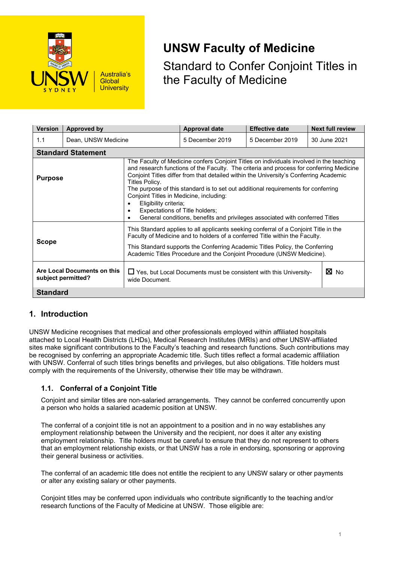

**UNSW Faculty of Medicine**

Standard to Confer Conjoint Titles in the Faculty of Medicine

| <b>Version</b>                                    | Approved by               |                                                                                                                                                                                                                                                                                                                                                                                                                                                                                                                                                                          | <b>Approval date</b> | <b>Effective date</b> | <b>Next full review</b> |  |  |
|---------------------------------------------------|---------------------------|--------------------------------------------------------------------------------------------------------------------------------------------------------------------------------------------------------------------------------------------------------------------------------------------------------------------------------------------------------------------------------------------------------------------------------------------------------------------------------------------------------------------------------------------------------------------------|----------------------|-----------------------|-------------------------|--|--|
| 1.1                                               | Dean, UNSW Medicine       |                                                                                                                                                                                                                                                                                                                                                                                                                                                                                                                                                                          | 5 December 2019      | 5 December 2019       | 30 June 2021            |  |  |
|                                                   | <b>Standard Statement</b> |                                                                                                                                                                                                                                                                                                                                                                                                                                                                                                                                                                          |                      |                       |                         |  |  |
| <b>Purpose</b>                                    |                           | The Faculty of Medicine confers Conjoint Titles on individuals involved in the teaching<br>and research functions of the Faculty. The criteria and process for conferring Medicine<br>Conjoint Titles differ from that detailed within the University's Conferring Academic<br>Titles Policy.<br>The purpose of this standard is to set out additional requirements for conferring<br>Conjoint Titles in Medicine, including:<br>Eligibility criteria;<br>Expectations of Title holders;<br>General conditions, benefits and privileges associated with conferred Titles |                      |                       |                         |  |  |
| <b>Scope</b>                                      |                           | This Standard applies to all applicants seeking conferral of a Conjoint Title in the<br>Faculty of Medicine and to holders of a conferred Title within the Faculty.<br>This Standard supports the Conferring Academic Titles Policy, the Conferring<br>Academic Titles Procedure and the Conjoint Procedure (UNSW Medicine).                                                                                                                                                                                                                                             |                      |                       |                         |  |  |
| Are Local Documents on this<br>subject permitted? |                           | $\Box$ Yes, but Local Documents must be consistent with this University-<br>wide Document.                                                                                                                                                                                                                                                                                                                                                                                                                                                                               | $\boxtimes$ No       |                       |                         |  |  |
| <b>Standard</b>                                   |                           |                                                                                                                                                                                                                                                                                                                                                                                                                                                                                                                                                                          |                      |                       |                         |  |  |

# **1. Introduction**

UNSW Medicine recognises that medical and other professionals employed within affiliated hospitals attached to Local Health Districts (LHDs), Medical Research Institutes (MRIs) and other UNSW-affiliated sites make significant contributions to the Faculty's teaching and research functions. Such contributions may be recognised by conferring an appropriate Academic title. Such titles reflect a formal academic affiliation with UNSW. Conferral of such titles brings benefits and privileges, but also obligations. Title holders must comply with the requirements of the University, otherwise their title may be withdrawn.

# **1.1. Conferral of a Conjoint Title**

Conjoint and similar titles are non-salaried arrangements. They cannot be conferred concurrently upon a person who holds a salaried academic position at UNSW.

The conferral of a conjoint title is not an appointment to a position and in no way establishes any employment relationship between the University and the recipient, nor does it alter any existing employment relationship. Title holders must be careful to ensure that they do not represent to others that an employment relationship exists, or that UNSW has a role in endorsing, sponsoring or approving their general business or activities.

The conferral of an academic title does not entitle the recipient to any UNSW salary or other payments or alter any existing salary or other payments.

Conjoint titles may be conferred upon individuals who contribute significantly to the teaching and/or research functions of the Faculty of Medicine at UNSW. Those eligible are: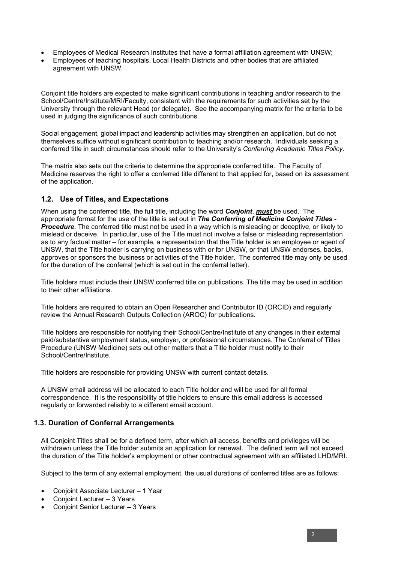- Employees of Medical Research Institutes that have a formal affiliation agreement with UNSW;
- Employees of teaching hospitals, Local Health Districts and other bodies that are affiliated agreement with UNSW.

Conjoint title holders are expected to make significant contributions in teaching and/or research to the School/Centre/Institute/MRI/Faculty, consistent with the requirements for such activities set by the University through the relevant Head (or delegate). See the accompanying matrix for the criteria to be used in judging the significance of such contributions.

Social engagement, global impact and leadership activities may strengthen an application, but do not themselves suffice without significant contribution to teaching and/or research. Individuals seeking a conferred title in such circumstances should refer to the University's *Conferring Academic Titles Policy.*

The matrix also sets out the criteria to determine the appropriate conferred title. The Faculty of Medicine reserves the right to offer a conferred title different to that applied for, based on its assessment of the application.

#### **1.2. Use of Titles, and Expectations**

When using the conferred title, the full title, including the word *Conjoint*, *must* be used. The appropriate format for the use of the title is set out in *The Conferring of Medicine Conjoint Titles - Procedure*. The conferred title must not be used in a way which is misleading or deceptive, or likely to mislead or deceive. In particular, use of the Title must not involve a false or misleading representation as to any factual matter – for example, a representation that the Title holder is an employee or agent of UNSW, that the Title holder is carrying on business with or for UNSW, or that UNSW endorses, backs, approves or sponsors the business or activities of the Title holder. The conferred title may only be used for the duration of the conferral (which is set out in the conferral letter).

Title holders must include their UNSW conferred title on publications. The title may be used in addition to their other affiliations.

Title holders are required to obtain an Open Researcher and Contributor ID (ORCID) and regularly review the Annual Research Outputs Collection (AROC) for publications.

Title holders are responsible for notifying their School/Centre/Institute of any changes in their external paid/substantive employment status, employer, or professional circumstances. The Conferral of Titles Procedure (UNSW Medicine) sets out other matters that a Title holder must notify to their School/Centre/Institute.

Title holders are responsible for providing UNSW with current contact details.

A UNSW email address will be allocated to each Title holder and will be used for all formal correspondence. It is the responsibility of title holders to ensure this email address is accessed regularly or forwarded reliably to a different email account.

#### **1.3. Duration of Conferral Arrangements**

All Conjoint Titles shall be for a defined term, after which all access, benefits and privileges will be withdrawn unless the Title holder submits an application for renewal. The defined term will not exceed the duration of the Title holder's employment or other contractual agreement with an affiliated LHD/MRI.

Subject to the term of any external employment, the usual durations of conferred titles are as follows:

- Conjoint Associate Lecturer 1 Year
- Conjoint Lecturer 3 Years
- Conjoint Senior Lecturer 3 Years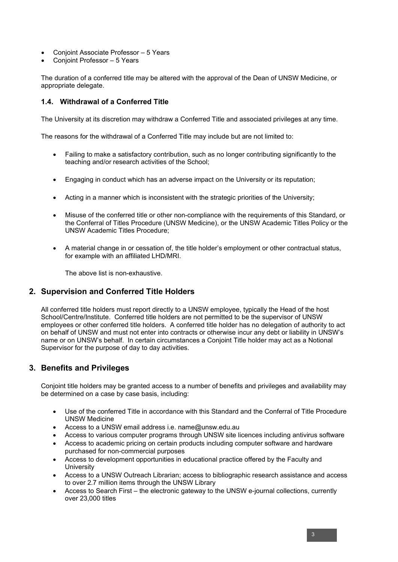- Conjoint Associate Professor 5 Years
- Conjoint Professor 5 Years

The duration of a conferred title may be altered with the approval of the Dean of UNSW Medicine, or appropriate delegate.

#### **1.4. Withdrawal of a Conferred Title**

The University at its discretion may withdraw a Conferred Title and associated privileges at any time.

The reasons for the withdrawal of a Conferred Title may include but are not limited to:

- Failing to make a satisfactory contribution, such as no longer contributing significantly to the teaching and/or research activities of the School;
- Engaging in conduct which has an adverse impact on the University or its reputation;
- Acting in a manner which is inconsistent with the strategic priorities of the University;
- Misuse of the conferred title or other non-compliance with the requirements of this Standard, or the Conferral of Titles Procedure (UNSW Medicine), or the UNSW Academic Titles Policy or the UNSW Academic Titles Procedure;
- A material change in or cessation of, the title holder's employment or other contractual status, for example with an affiliated LHD/MRI.

The above list is non-exhaustive.

### **2. Supervision and Conferred Title Holders**

All conferred title holders must report directly to a UNSW employee, typically the Head of the host School/Centre/Institute. Conferred title holders are not permitted to be the supervisor of UNSW employees or other conferred title holders. A conferred title holder has no delegation of authority to act on behalf of UNSW and must not enter into contracts or otherwise incur any debt or liability in UNSW's name or on UNSW's behalf. In certain circumstances a Conjoint Title holder may act as a Notional Supervisor for the purpose of day to day activities.

### **3. Benefits and Privileges**

Conjoint title holders may be granted access to a number of benefits and privileges and availability may be determined on a case by case basis, including:

- Use of the conferred Title in accordance with this Standard and the Conferral of Title Procedure UNSW Medicine
- Access to a UNSW email address i.e. name@unsw.edu.au
- Access to various computer programs through UNSW site licences including antivirus software
- Access to academic pricing on certain products including computer software and hardware purchased for non-commercial purposes
- Access to development opportunities in educational practice offered by the Faculty and **University**
- Access to a UNSW Outreach Librarian; access to bibliographic research assistance and access to over 2.7 million items through the UNSW Library
- Access to Search First the electronic gateway to the UNSW e-journal collections, currently over 23,000 titles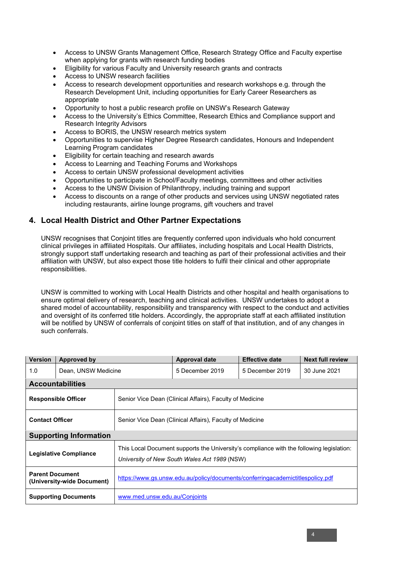- Access to UNSW Grants Management Office, Research Strategy Office and Faculty expertise when applying for grants with research funding bodies
- Eligibility for various Faculty and University research grants and contracts
- Access to UNSW research facilities
- Access to research development opportunities and research workshops e.g. through the Research Development Unit, including opportunities for Early Career Researchers as appropriate
- Opportunity to host a public research profile on UNSW's Research Gateway
- Access to the University's Ethics Committee, Research Ethics and Compliance support and Research Integrity Advisors
- Access to BORIS, the UNSW research metrics system
- Opportunities to supervise Higher Degree Research candidates, Honours and Independent Learning Program candidates
- Eligibility for certain teaching and research awards
- Access to Learning and Teaching Forums and Workshops
- Access to certain UNSW professional development activities
- Opportunities to participate in School/Faculty meetings, committees and other activities
- Access to the UNSW Division of Philanthropy, including training and support
- Access to discounts on a range of other products and services using UNSW negotiated rates including restaurants, airline lounge programs, gift vouchers and travel

## **4. Local Health District and Other Partner Expectations**

UNSW recognises that Conjoint titles are frequently conferred upon individuals who hold concurrent clinical privileges in affiliated Hospitals. Our affiliates, including hospitals and Local Health Districts, strongly support staff undertaking research and teaching as part of their professional activities and their affiliation with UNSW, but also expect those title holders to fulfil their clinical and other appropriate responsibilities.

UNSW is committed to working with Local Health Districts and other hospital and health organisations to ensure optimal delivery of research, teaching and clinical activities. UNSW undertakes to adopt a shared model of accountability, responsibility and transparency with respect to the conduct and activities and oversight of its conferred title holders. Accordingly, the appropriate staff at each affiliated institution will be notified by UNSW of conferrals of conjoint titles on staff of that institution, and of any changes in such conferrals.

| <b>Version</b>                                       | Approved by         |                                                                                                                                          | <b>Approval date</b> | <b>Effective date</b> | <b>Next full review</b> |  |
|------------------------------------------------------|---------------------|------------------------------------------------------------------------------------------------------------------------------------------|----------------------|-----------------------|-------------------------|--|
| 1.0                                                  | Dean, UNSW Medicine |                                                                                                                                          | 5 December 2019      | 5 December 2019       | 30 June 2021            |  |
| <b>Accountabilities</b>                              |                     |                                                                                                                                          |                      |                       |                         |  |
| <b>Responsible Officer</b>                           |                     | Senior Vice Dean (Clinical Affairs), Faculty of Medicine                                                                                 |                      |                       |                         |  |
| <b>Contact Officer</b>                               |                     | Senior Vice Dean (Clinical Affairs), Faculty of Medicine                                                                                 |                      |                       |                         |  |
| <b>Supporting Information</b>                        |                     |                                                                                                                                          |                      |                       |                         |  |
| <b>Legislative Compliance</b>                        |                     | This Local Document supports the University's compliance with the following legislation:<br>University of New South Wales Act 1989 (NSW) |                      |                       |                         |  |
| <b>Parent Document</b><br>(University-wide Document) |                     | https://www.gs.unsw.edu.au/policy/documents/conferringacademictitlespolicy.pdf                                                           |                      |                       |                         |  |
| <b>Supporting Documents</b>                          |                     | www.med.unsw.edu.au/Conjoints                                                                                                            |                      |                       |                         |  |